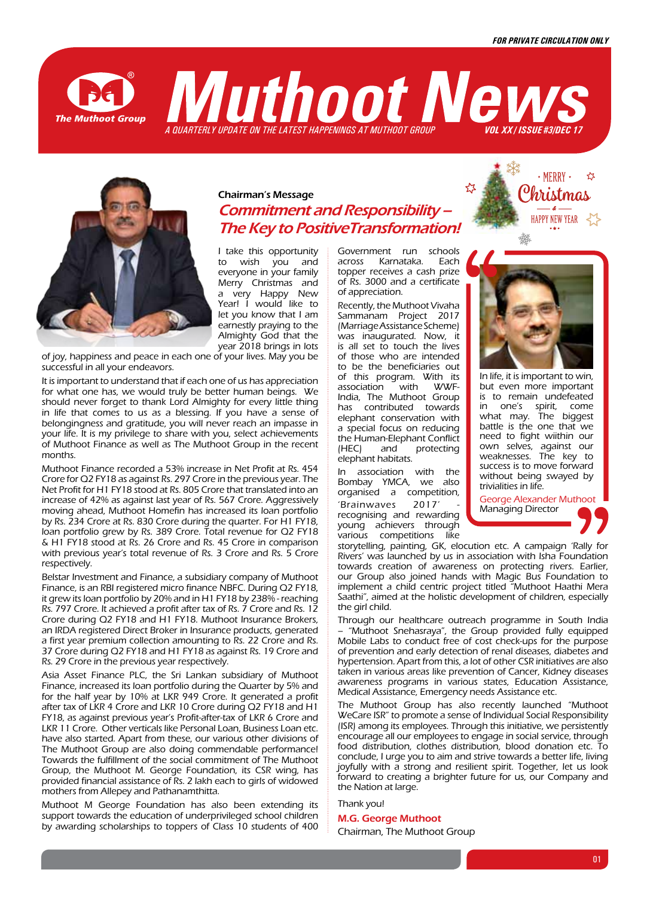**The Muthoot Group** 





Chairman's Message Commitment and Responsibility – The Key to PositiveTransformation!

I take this opportunity to wish you and everyone in your family Merry Christmas and a very Happy New Year! I would like to let you know that I am earnestly praying to the Almighty God that the year 2018 brings in lots

of joy, happiness and peace in each one of your lives. May you be successful in all your endeavors.

It is important to understand that if each one of us has appreciation for what one has, we would truly be better human beings. We should never forget to thank Lord Almighty for every little thing in life that comes to us as a blessing. If you have a sense of belongingness and gratitude, you will never reach an impasse in your life. It is my privilege to share with you, select achievements of Muthoot Finance as well as The Muthoot Group in the recent months.

Muthoot Finance recorded a 53% increase in Net Profit at Rs. 454 Crore for Q2 FY18 as against Rs. 297 Crore in the previous year. The Net Profit for H1 FY18 stood at Rs. 805 Crore that translated into an increase of 42% as against last year of Rs. 567 Crore. Aggressively moving ahead, Muthoot Homefin has increased its loan portfolio by Rs. 234 Crore at Rs. 830 Crore during the quarter. For H1 FY18, loan portfolio grew by Rs. 389 Crore. Total revenue for Q2 FY18 & H1 FY18 stood at Rs. 26 Crore and Rs. 45 Crore in comparison with previous year's total revenue of Rs. 3 Crore and Rs. 5 Crore respectively.

Belstar Investment and Finance, a subsidiary company of Muthoot Finance, is an RBI registered micro finance NBFC. During Q2 FY18, it grew its loan portfolio by 20% and in H1 FY18 by 238% - reaching Rs. 797 Crore. It achieved a profit after tax of Rs. 7 Crore and Rs. 12 Crore during Q2 FY18 and H1 FY18. Muthoot Insurance Brokers, an IRDA registered Direct Broker in Insurance products, generated a first year premium collection amounting to Rs. 22 Crore and Rs. 37 Crore during Q2 FY18 and H1 FY18 as against Rs. 19 Crore and Rs. 29 Crore in the previous year respectively.

Asia Asset Finance PLC, the Sri Lankan subsidiary of Muthoot Finance, increased its loan portfolio during the Quarter by 5% and for the half year by 10% at LKR 949 Crore. It generated a profit after tax of LKR 4 Crore and LKR 10 Crore during Q2 FY18 and H1 FY18, as against previous year's Profit-after-tax of LKR 6 Crore and LKR 11 Crore. Other verticals like Personal Loan, Business Loan etc. have also started. Apart from these, our various other divisions of The Muthoot Group are also doing commendable performance! Towards the fulfillment of the social commitment of The Muthoot Group, the Muthoot M. George Foundation, its CSR wing, has provided financial assistance of Rs. 2 lakh each to girls of widowed mothers from Allepey and Pathanamthitta.

Muthoot M George Foundation has also been extending its support towards the education of underprivileged school children by awarding scholarships to toppers of Class 10 students of 400 Government run schools<br>across Karnataka. Fach Karnataka. Each topper receives a cash prize of Rs. 3000 and a certificate of appreciation.

Recently, the Muthoot Vivaha Sammanam Project 2017 (Marriage Assistance Scheme) was inaugurated. Now, it is all set to touch the lives of those who are intended to be the beneficiaries out of this program. With its<br>association with WAX/Fassociation with India, The Muthoot Group has contributed towards elephant conservation with a special focus on reducing the Human-Elephant Conflict (HEC) and protecting elephant habitats.

In association with the Bombay YMCA, we also organised a competition, 'Brainwaves 2017' recognising and rewarding young achievers through various competitions like



**HAPPY NEW YEAR** 

In life, it is important to win, but even more important is to remain undefeated in one's spirit, come what may. The biggest battle is the one that we need to fight wiithin our own selves, against our weaknesses. The key to success is to move forward without being swayed by trivialities in life.

George Alexander Muthoot Managing Director

storytelling, painting, GK, elocution etc. A campaign 'Rally for Rivers' was launched by us in association with Isha Foundation towards creation of awareness on protecting rivers. Earlier, our Group also joined hands with Magic Bus Foundation to implement a child centric project titled "Muthoot Haathi Mera Saathi", aimed at the holistic development of children, especially the girl child.

Through our healthcare outreach programme in South India – "Muthoot Snehasraya", the Group provided fully equipped Mobile Labs to conduct free of cost check-ups for the purpose of prevention and early detection of renal diseases, diabetes and hypertension. Apart from this, a lot of other CSR initiatives are also taken in various areas like prevention of Cancer, Kidney diseases awareness programs in various states, Education Assistance, Medical Assistance, Emergency needs Assistance etc.

The Muthoot Group has also recently launched "Muthoot WeCare ISR" to promote a sense of Individual Social Responsibility (ISR) among its employees. Through this initiative, we persistently encourage all our employees to engage in social service, through food distribution, clothes distribution, blood donation etc. To conclude, I urge you to aim and strive towards a better life, living joyfully with a strong and resilient spirit. Together, let us look forward to creating a brighter future for us, our Company and the Nation at large.

Thank you!

#### M.G. George Muthoot

Chairman, The Muthoot Group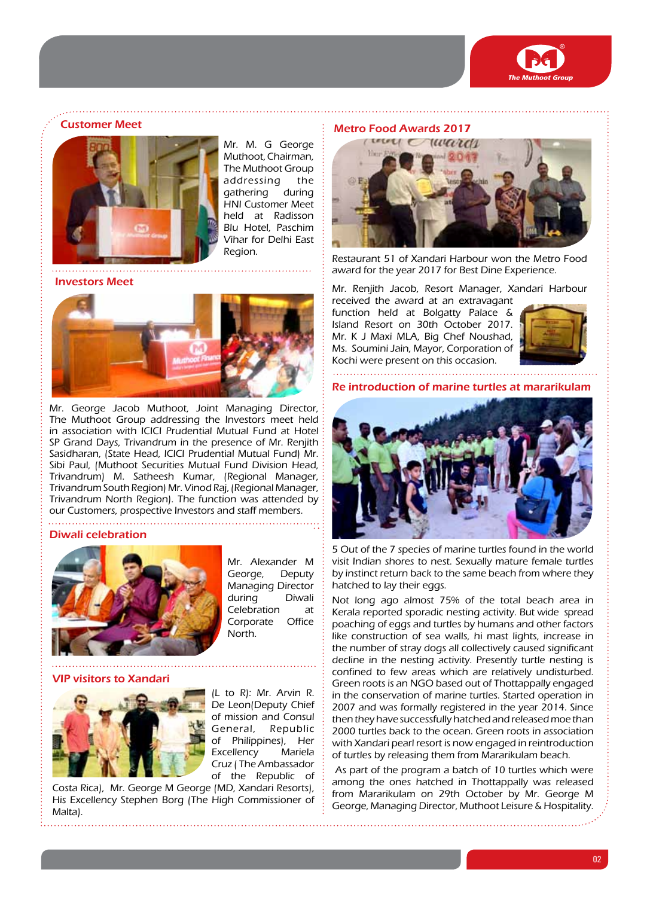



Mr. M. G George Muthoot, Chairman, The Muthoot Group addressing the gathering during HNI Customer Meet held at Radisson Blu Hotel, Paschim Vihar for Delhi East Region.

Investors Meet



Mr. George Jacob Muthoot, Joint Managing Director, The Muthoot Group addressing the Investors meet held in association with ICICI Prudential Mutual Fund at Hotel SP Grand Days, Trivandrum in the presence of Mr. Renjith Sasidharan, (State Head, ICICI Prudential Mutual Fund) Mr. Sibi Paul, (Muthoot Securities Mutual Fund Division Head, Trivandrum) M. Satheesh Kumar, (Regional Manager, Trivandrum South Region) Mr. Vinod Raj, (Regional Manager, Trivandrum North Region). The function was attended by our Customers, prospective Investors and staff members.

#### Diwali celebration



Mr. Alexander M George, Deputy Managing Director during Diwali Celebration at Corporate Office North.

VIP visitors to Xandari



(L to R): Mr. Arvin R. De Leon(Deputy Chief of mission and Consul General, Republic of Philippines), Her Excellency Mariela Cruz ( The Ambassador of the Republic of

Costa Rica), Mr. George M George (MD, Xandari Resorts), His Excellency Stephen Borg (The High Commissioner of Malta).

# Metro Food Awards 2017 Customer Meet



Restaurant 51 of Xandari Harbour won the Metro Food award for the year 2017 for Best Dine Experience.

Mr. Renjith Jacob, Resort Manager, Xandari Harbour

received the award at an extravagant function held at Bolgatty Palace & Island Resort on 30th October 2017. Mr. K J Maxi MLA, Big Chef Noushad, Ms. Soumini Jain, Mayor, Corporation of Kochi were present on this occasion.



Re introduction of marine turtles at mararikulam



5 Out of the 7 species of marine turtles found in the world visit Indian shores to nest. Sexually mature female turtles by instinct return back to the same beach from where they hatched to lay their eggs.

Not long ago almost 75% of the total beach area in Kerala reported sporadic nesting activity. But wide spread poaching of eggs and turtles by humans and other factors like construction of sea walls, hi mast lights, increase in the number of stray dogs all collectively caused significant decline in the nesting activity. Presently turtle nesting is confined to few areas which are relatively undisturbed. Green roots is an NGO based out of Thottappally engaged in the conservation of marine turtles. Started operation in 2007 and was formally registered in the year 2014. Since then they have successfully hatched and released moe than 2000 turtles back to the ocean. Green roots in association with Xandari pearl resort is now engaged in reintroduction of turtles by releasing them from Mararikulam beach.

 As part of the program a batch of 10 turtles which were among the ones hatched in Thottappally was released from Mararikulam on 29th October by Mr. George M George, Managing Director, Muthoot Leisure & Hospitality.

02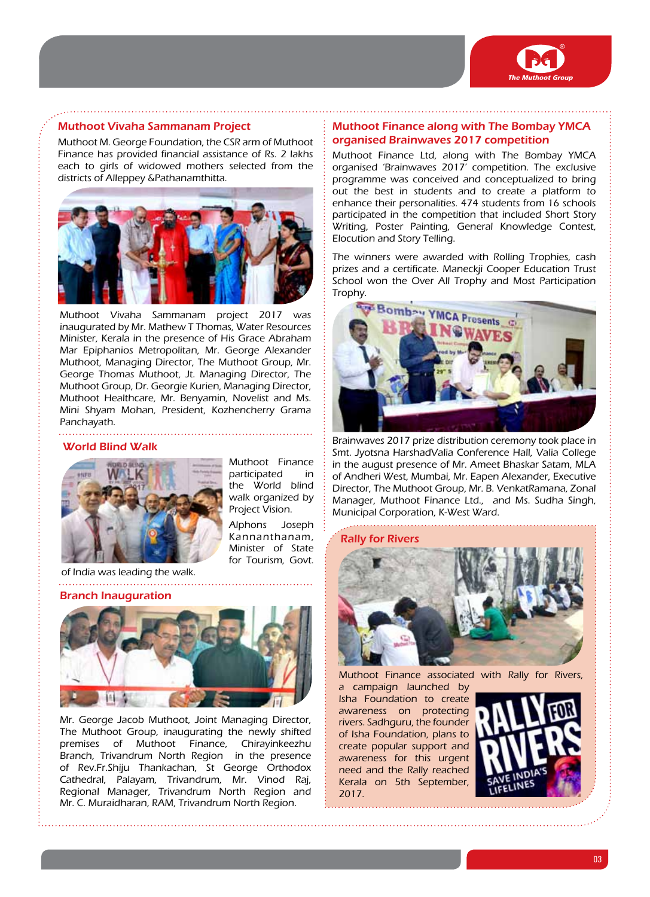

# Muthoot Vivaha Sammanam Project

Muthoot M. George Foundation, the CSR arm of Muthoot Finance has provided financial assistance of Rs. 2 lakhs each to girls of widowed mothers selected from the districts of Alleppey &Pathanamthitta.



Muthoot Vivaha Sammanam project 2017 was inaugurated by Mr. Mathew T Thomas, Water Resources Minister, Kerala in the presence of His Grace Abraham Mar Epiphanios Metropolitan, Mr. George Alexander Muthoot, Managing Director, The Muthoot Group, Mr. George Thomas Muthoot, Jt. Managing Director, The Muthoot Group, Dr. Georgie Kurien, Managing Director, Muthoot Healthcare, Mr. Benyamin, Novelist and Ms. Mini Shyam Mohan, President, Kozhencherry Grama Panchayath.

#### World Blind Walk



Muthoot Finance participated in the World blind walk organized by Project Vision.

Alphons Joseph Kannanthanam, Minister of State for Tourism, Govt.

of India was leading the walk. 

#### Branch Inauguration



Mr. George Jacob Muthoot, Joint Managing Director, The Muthoot Group, inaugurating the newly shifted premises of Muthoot Finance, Chirayinkeezhu Branch, Trivandrum North Region in the presence of Rev.Fr.Shiju Thankachan, St George Orthodox Cathedral, Palayam, Trivandrum, Mr. Vinod Raj, Regional Manager, Trivandrum North Region and Mr. C. Muraidharan, RAM, Trivandrum North Region.

# Muthoot Finance along with The Bombay YMCA organised Brainwaves 2017 competition

Muthoot Finance Ltd, along with The Bombay YMCA organised 'Brainwaves 2017' competition. The exclusive programme was conceived and conceptualized to bring out the best in students and to create a platform to enhance their personalities. 474 students from 16 schools participated in the competition that included Short Story Writing, Poster Painting, General Knowledge Contest, Elocution and Story Telling.

The winners were awarded with Rolling Trophies, cash prizes and a certificate. Maneckji Cooper Education Trust School won the Over All Trophy and Most Participation Trophy.



Brainwaves 2017 prize distribution ceremony took place in Smt. Jyotsna HarshadValia Conference Hall, Valia College in the august presence of Mr. Ameet Bhaskar Satam, MLA of Andheri West, Mumbai, Mr. Eapen Alexander, Executive Director, The Muthoot Group, Mr. B. VenkatRamana, Zonal Manager, Muthoot Finance Ltd., and Ms. Sudha Singh, Municipal Corporation, K-West Ward.

### Rally for Rivers



Muthoot Finance associated with Rally for Rivers,

a campaign launched by Isha Foundation to create awareness on protecting rivers. Sadhguru, the founder of Isha Foundation, plans to create popular support and awareness for this urgent need and the Rally reached Kerala on 5th September, 2017.

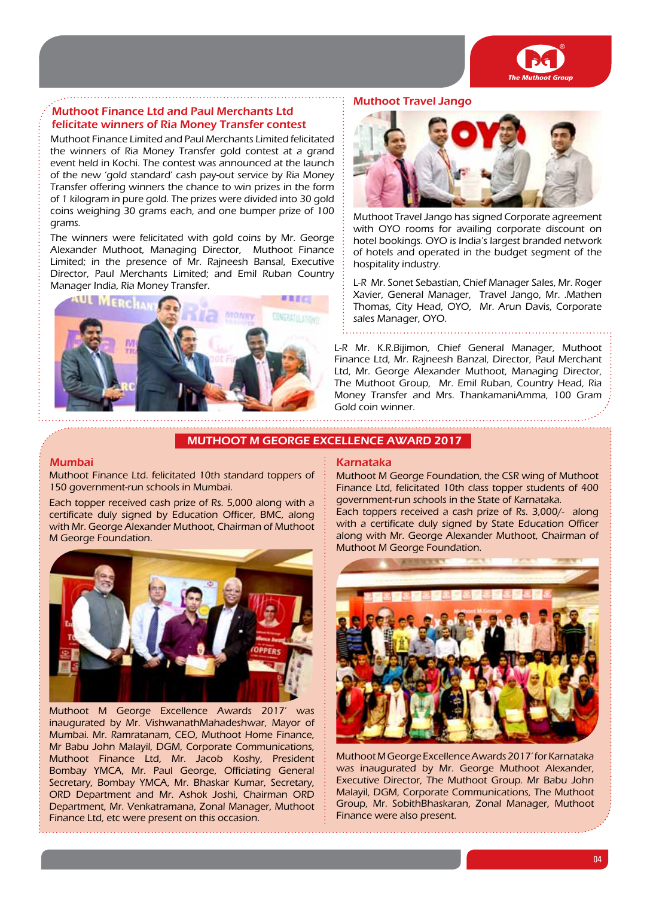

# Muthoot Finance Ltd and Paul Merchants Ltd felicitate winners of Ria Money Transfer contest

Muthoot Finance Limited and Paul Merchants Limited felicitated the winners of Ria Money Transfer gold contest at a grand event held in Kochi. The contest was announced at the launch of the new 'gold standard' cash pay-out service by Ria Money Transfer offering winners the chance to win prizes in the form of 1 kilogram in pure gold. The prizes were divided into 30 gold coins weighing 30 grams each, and one bumper prize of 100 grams.

The winners were felicitated with gold coins by Mr. George Alexander Muthoot, Managing Director, Muthoot Finance Limited; in the presence of Mr. Rajneesh Bansal, Executive Director, Paul Merchants Limited; and Emil Ruban Country Manager India, Ria Money Transfer.



# Muthoot Travel Jango



Muthoot Travel Jango has signed Corporate agreement with OYO rooms for availing corporate discount on hotel bookings. OYO is India's largest branded network of hotels and operated in the budget segment of the hospitality industry.

L-R Mr. Sonet Sebastian, Chief Manager Sales, Mr. Roger Xavier, General Manager, Travel Jango, Mr. .Mathen Thomas, City Head, OYO, Mr. Arun Davis, Corporate sales Manager, OYO.

L-R Mr. K.R.Bijimon, Chief General Manager, Muthoot Finance Ltd, Mr. Rajneesh Banzal, Director, Paul Merchant Ltd, Mr. George Alexander Muthoot, Managing Director, The Muthoot Group, Mr. Emil Ruban, Country Head, Ria Money Transfer and Mrs. ThankamaniAmma, 100 Gram Gold coin winner.

## Muthoot M George Excellence Award 2017

# Mumbai

Muthoot Finance Ltd. felicitated 10th standard toppers of 150 government-run schools in Mumbai.

Each topper received cash prize of Rs. 5,000 along with a certificate duly signed by Education Officer, BMC, along with Mr. George Alexander Muthoot, Chairman of Muthoot M George Foundation.



Muthoot M George Excellence Awards 2017' was inaugurated by Mr. VishwanathMahadeshwar, Mayor of Mumbai. Mr. Ramratanam, CEO, Muthoot Home Finance, Mr Babu John Malayil, DGM, Corporate Communications, Muthoot Finance Ltd, Mr. Jacob Koshy, President Bombay YMCA, Mr. Paul George, Officiating General Secretary, Bombay YMCA, Mr. Bhaskar Kumar, Secretary, ORD Department and Mr. Ashok Joshi, Chairman ORD Department, Mr. Venkatramana, Zonal Manager, Muthoot Finance Ltd, etc were present on this occasion.

#### Karnataka

Muthoot M George Foundation, the CSR wing of Muthoot Finance Ltd, felicitated 10th class topper students of 400 government-run schools in the State of Karnataka.

Each toppers received a cash prize of Rs. 3,000/- along with a certificate duly signed by State Education Officer along with Mr. George Alexander Muthoot, Chairman of Muthoot M George Foundation.



Muthoot M George Excellence Awards 2017' for Karnataka was inaugurated by Mr. George Muthoot Alexander, Executive Director, The Muthoot Group. Mr Babu John Malayil, DGM, Corporate Communications, The Muthoot Group, Mr. SobithBhaskaran, Zonal Manager, Muthoot Finance were also present.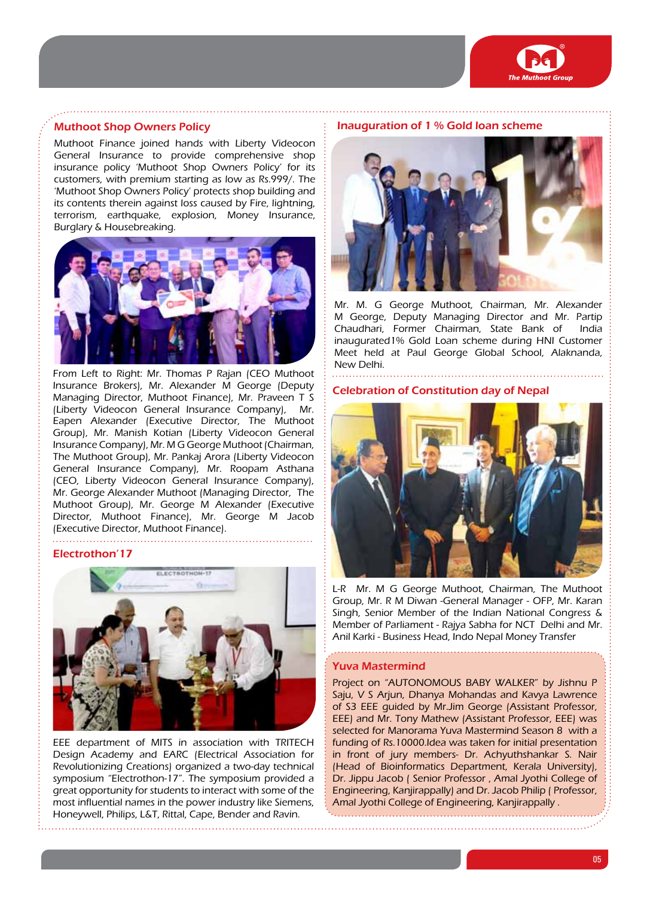

## Muthoot Shop Owners Policy

Muthoot Finance joined hands with Liberty Videocon General Insurance to provide comprehensive shop insurance policy 'Muthoot Shop Owners Policy' for its customers, with premium starting as low as Rs.999/. The 'Muthoot Shop Owners Policy' protects shop building and its contents therein against loss caused by Fire, lightning, terrorism, earthquake, explosion, Money Insurance, Burglary & Housebreaking.



From Left to Right: Mr. Thomas P Rajan (CEO Muthoot Insurance Brokers), Mr. Alexander M George (Deputy Managing Director, Muthoot Finance), Mr. Praveen T S (Liberty Videocon General Insurance Company), Eapen Alexander (Executive Director, The Muthoot Group), Mr. Manish Kotian (Liberty Videocon General Insurance Company), Mr. M G George Muthoot (Chairman, The Muthoot Group), Mr. Pankaj Arora (Liberty Videocon General Insurance Company), Mr. Roopam Asthana (CEO, Liberty Videocon General Insurance Company), Mr. George Alexander Muthoot (Managing Director, The Muthoot Group), Mr. George M Alexander (Executive Director, Muthoot Finance), Mr. George M Jacob (Executive Director, Muthoot Finance).

# Electrothon'17



EEE department of MITS in association with TRITECH Design Academy and EARC (Electrical Association for Revolutionizing Creations) organized a two-day technical symposium "Electrothon-17". The symposium provided a great opportunity for students to interact with some of the most influential names in the power industry like Siemens, Honeywell, Philips, L&T, Rittal, Cape, Bender and Ravin.

#### Inauguration of 1 % Gold loan scheme



Mr. M. G George Muthoot, Chairman, Mr. Alexander M George, Deputy Managing Director and Mr. Partip Chaudhari, Former Chairman, State Bank of India inaugurated1% Gold Loan scheme during HNI Customer Meet held at Paul George Global School, Alaknanda, New Delhi.

#### Celebration of Constitution day of Nepal



L-R Mr. M G George Muthoot, Chairman, The Muthoot Group, Mr. R M Diwan -General Manager - OFP, Mr. Karan Singh, Senior Member of the Indian National Congress & Member of Parliament - Rajya Sabha for NCT Delhi and Mr. Anil Karki - Business Head, Indo Nepal Money Transfer

### Yuva Mastermind

. . . . . . . . . . . . . .

Project on "AUTONOMOUS BABY WALKER" by Jishnu P Saju, V S Arjun, Dhanya Mohandas and Kavya Lawrence of S3 EEE guided by Mr.Jim George (Assistant Professor, EEE) and Mr. Tony Mathew (Assistant Professor, EEE) was selected for Manorama Yuva Mastermind Season 8 with a funding of Rs.10000.Idea was taken for initial presentation in front of jury members- Dr. Achyuthshankar S. Nair (Head of Bioinformatics Department, Kerala University), Dr. Jippu Jacob ( Senior Professor , Amal Jyothi College of Engineering, Kanjirappally) and Dr. Jacob Philip ( Professor, Amal Jyothi College of Engineering, Kanjirappally .

05